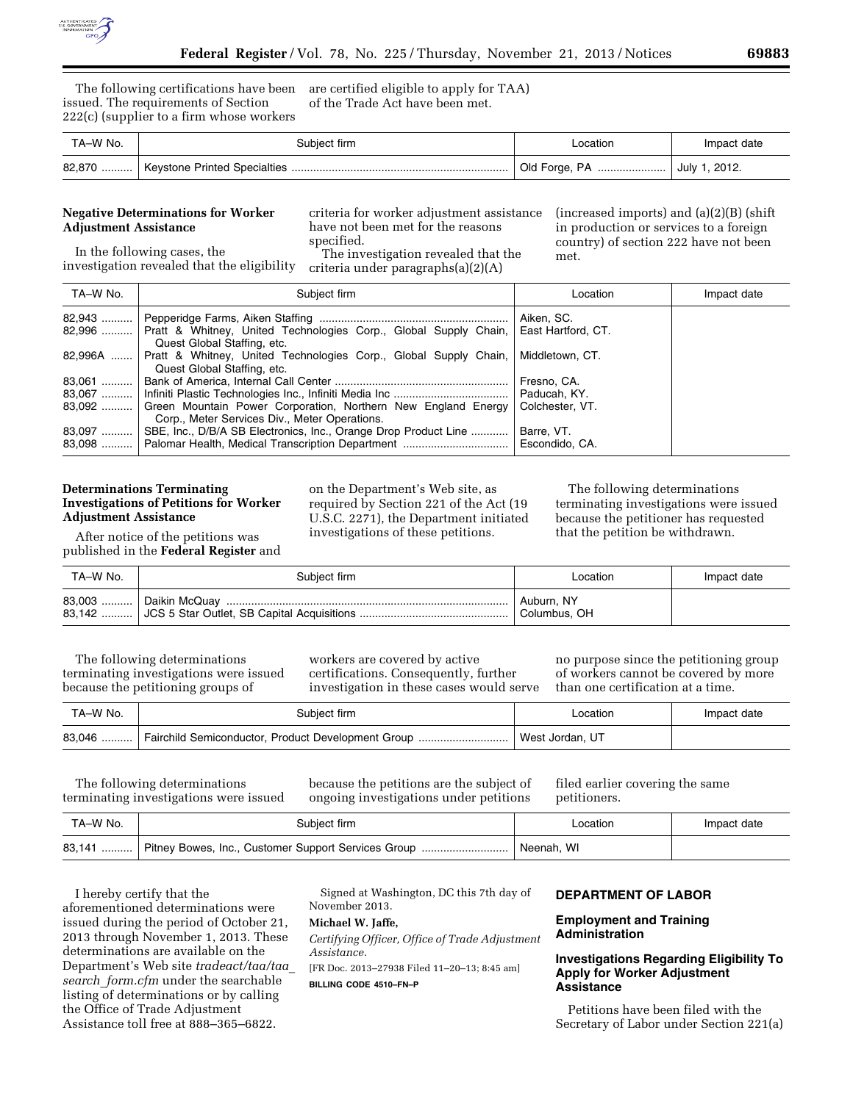

The following certifications have been issued. The requirements of Section 222(c) (supplier to a firm whose workers

are certified eligible to apply for TAA) of the Trade Act have been met.

| TA–W No. | Subject firm | Location                       | Impact date |
|----------|--------------|--------------------------------|-------------|
|          |              | Old Forge, PA    July 1, 2012. |             |

## **Negative Determinations for Worker Adjustment Assistance**

criteria for worker adjustment assistance have not been met for the reasons specified.

The investigation revealed that the criteria under paragraphs(a)(2)(A)

(increased imports) and (a)(2)(B) (shift in production or services to a foreign country) of section 222 have not been met.

In the following cases, the investigation revealed that the eligibility

| TA-W No. | Subject firm                                                              | Location           | Impact date |
|----------|---------------------------------------------------------------------------|--------------------|-------------|
|          |                                                                           | Aiken, SC.         |             |
|          | 82,996  Pratt & Whitney, United Technologies Corp., Global Supply Chain,  | East Hartford, CT. |             |
|          | Quest Global Staffing, etc.                                               |                    |             |
| 82,996A  | Pratt & Whitney, United Technologies Corp., Global Supply Chain,          | Middletown, CT.    |             |
|          | Quest Global Staffing, etc.                                               |                    |             |
|          |                                                                           | Fresno, CA.        |             |
|          |                                                                           | Paducah, KY.       |             |
|          | 83,092  Green Mountain Power Corporation, Northern New England Energy     | Colchester, VT.    |             |
|          | Corp., Meter Services Div., Meter Operations.                             |                    |             |
|          | 83,097    SBE, Inc., D/B/A SB Electronics, Inc., Orange Drop Product Line | Barre, VT.         |             |
|          |                                                                           | Escondido, CA.     |             |

### **Determinations Terminating Investigations of Petitions for Worker Adjustment Assistance**

After notice of the petitions was published in the **Federal Register** and on the Department's Web site, as required by Section 221 of the Act (19 U.S.C. 2271), the Department initiated investigations of these petitions.

The following determinations terminating investigations were issued because the petitioner has requested that the petition be withdrawn.

| TA-W No. | Subject firm            | Location                   | Impact date |
|----------|-------------------------|----------------------------|-------------|
|          | 83,003    Daikin McQuay | Auburn, NY<br>Columbus, OH |             |

The following determinations terminating investigations were issued because the petitioning groups of

workers are covered by active certifications. Consequently, further investigation in these cases would serve

no purpose since the petitioning group of workers cannot be covered by more than one certification at a time.

| TA–W No. | Subiect firm                                               | _ocation        | Impact date |
|----------|------------------------------------------------------------|-----------------|-------------|
|          | 83,046  Fairchild Semiconductor, Product Development Group | West Jordan, UT |             |

The following determinations terminating investigations were issued because the petitions are the subject of ongoing investigations under petitions

filed earlier covering the same petitioners.

| TA–W No. | Subject firm                                                  | Location   | Impact date |
|----------|---------------------------------------------------------------|------------|-------------|
|          | 83,141    Pitney Bowes, Inc., Customer Support Services Group | Neenah, WI |             |

I hereby certify that the aforementioned determinations were issued during the period of October 21, 2013 through November 1, 2013. These determinations are available on the Department's Web site *tradeact/taa/taa*\_ *search*\_*form.cfm* under the searchable listing of determinations or by calling the Office of Trade Adjustment Assistance toll free at 888–365–6822.

Signed at Washington, DC this 7th day of November 2013.

**Michael W. Jaffe,** 

*Certifying Officer, Office of Trade Adjustment Assistance.* 

[FR Doc. 2013–27938 Filed 11–20–13; 8:45 am] **BILLING CODE 4510–FN–P** 

# **DEPARTMENT OF LABOR**

#### **Employment and Training Administration**

### **Investigations Regarding Eligibility To Apply for Worker Adjustment Assistance**

Petitions have been filed with the Secretary of Labor under Section 221(a)